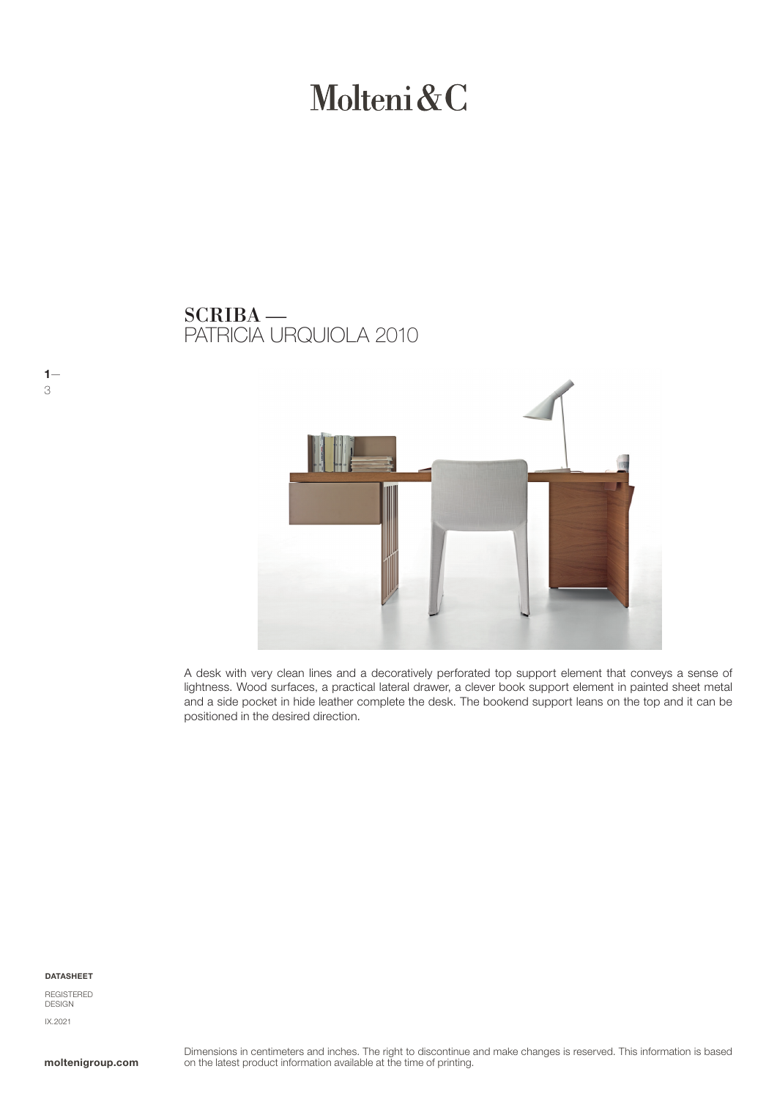# Molteni&C

### PATRICIA URQUIOLA 2010 SCRIBA —



A desk with very clean lines and a decoratively perforated top support element that conveys a sense of lightness. Wood surfaces, a practical lateral drawer, a clever book support element in painted sheet metal and a side pocket in hide leather complete the desk. The bookend support leans on the top and it can be positioned in the desired direction.

#### DATASHEET

 $1 -$ 

3

REGISTERED **DESIGN** IX.2021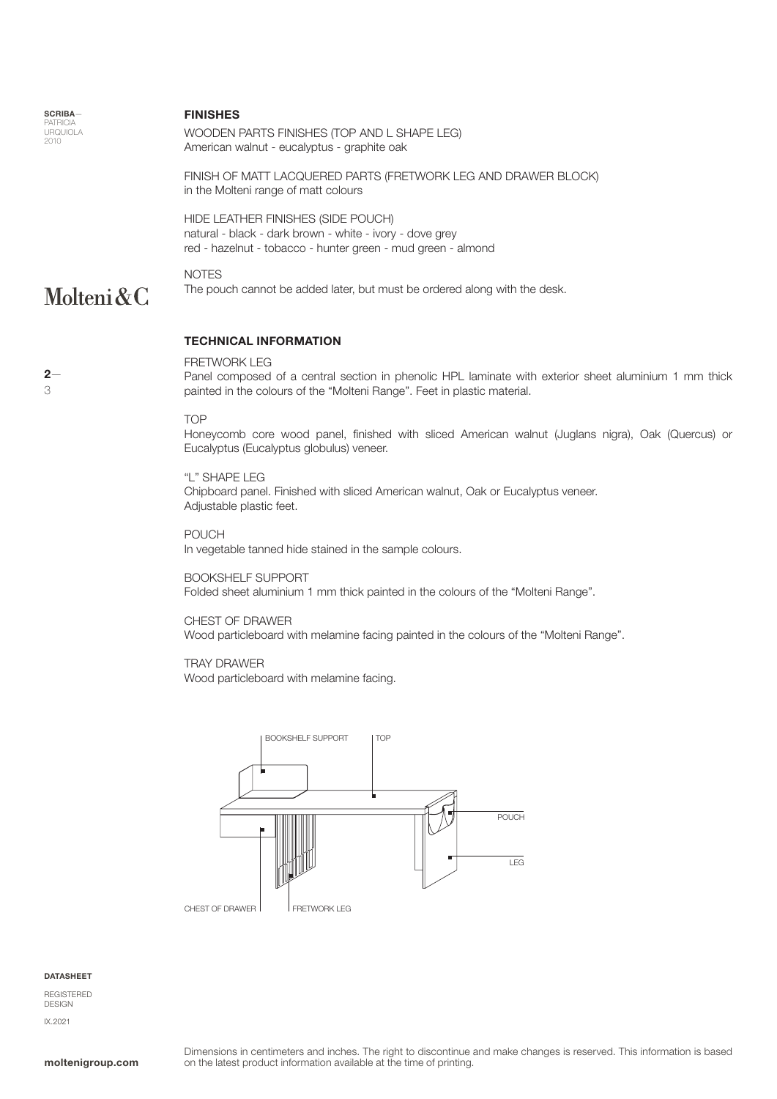**SCRIBA PATRICIA** URQUIOLA 2010

 $2-$ 

3

#### FINISHES

WOODEN PARTS FINISHES (TOP AND L SHAPE LEG) American walnut - eucalyptus - graphite oak

FINISH OF MATT LACQUERED PARTS (FRETWORK LEG AND DRAWER BLOCK) in the Molteni range of matt colours

HIDE LEATHER FINISHES (SIDE POUCH) natural - black - dark brown - white - ivory - dove grey red - hazelnut - tobacco - hunter green - mud green - almond

### Molteni&C

The pouch cannot be added later, but must be ordered along with the desk.

#### TECHNICAL INFORMATION

#### FRETWORK LEG

Panel composed of a central section in phenolic HPL laminate with exterior sheet aluminium 1 mm thick painted in the colours of the "Molteni Range". Feet in plastic material.

#### TOP

NOTES

Honeycomb core wood panel, finished with sliced American walnut (Juglans nigra), Oak (Quercus) or Eucalyptus (Eucalyptus globulus) veneer.

#### "L" SHAPE LEG

Chipboard panel. Finished with sliced American walnut, Oak or Eucalyptus veneer. Adjustable plastic feet.

POUCH

In vegetable tanned hide stained in the sample colours.

#### BOOKSHELF SUPPORT

Folded sheet aluminium 1 mm thick painted in the colours of the "Molteni Range".

#### CHEST OF DRAWER

Wood particleboard with melamine facing painted in the colours of the "Molteni Range".

#### TRAY DRAWER

Wood particleboard with melamine facing.



#### **DATASHEET**

REGISTERED DESIGN IX.2021